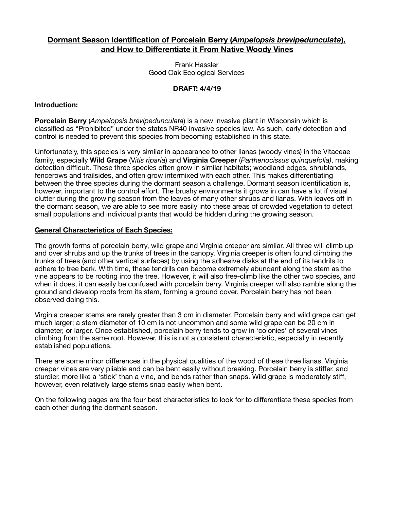# **Dormant Season Identification of Porcelain Berry (***Ampelopsis brevipedunculata***), and How to Differentiate it From Native Woody Vines**

Frank Hassler Good Oak Ecological Services

# **DRAFT: 4/4/19**

#### **Introduction:**

**Porcelain Berry** (*Ampelopsis brevipedunculata*) is a new invasive plant in Wisconsin which is classified as "Prohibited" under the states NR40 invasive species law. As such, early detection and control is needed to prevent this species from becoming established in this state.

Unfortunately, this species is very similar in appearance to other lianas (woody vines) in the Vitaceae family, especially **Wild Grape** (V*itis riparia*) and **Virginia Creeper** (*Parthenocissus quinquefolia)*, making detection difficult. These three species often grow in similar habitats; woodland edges, shrublands, fencerows and trailsides, and often grow intermixed with each other. This makes differentiating between the three species during the dormant season a challenge. Dormant season identification is, however, important to the control effort. The brushy environments it grows in can have a lot if visual clutter during the growing season from the leaves of many other shrubs and lianas. With leaves off in the dormant season, we are able to see more easily into these areas of crowded vegetation to detect small populations and individual plants that would be hidden during the growing season.

#### **General Characteristics of Each Species:**

The growth forms of porcelain berry, wild grape and Virginia creeper are similar. All three will climb up and over shrubs and up the trunks of trees in the canopy. Virginia creeper is often found climbing the trunks of trees (and other vertical surfaces) by using the adhesive disks at the end of its tendrils to adhere to tree bark. With time, these tendrils can become extremely abundant along the stem as the vine appears to be rooting into the tree. However, it will also free-climb like the other two species, and when it does, it can easily be confused with porcelain berry. Virginia creeper will also ramble along the ground and develop roots from its stem, forming a ground cover. Porcelain berry has not been observed doing this.

Virginia creeper stems are rarely greater than 3 cm in diameter. Porcelain berry and wild grape can get much larger; a stem diameter of 10 cm is not uncommon and some wild grape can be 20 cm in diameter, or larger. Once established, porcelain berry tends to grow in 'colonies' of several vines climbing from the same root. However, this is not a consistent characteristic, especially in recently established populations.

There are some minor differences in the physical qualities of the wood of these three lianas. Virginia creeper vines are very pliable and can be bent easily without breaking. Porcelain berry is stiffer, and sturdier, more like a 'stick' than a vine, and bends rather than snaps. Wild grape is moderately stiff, however, even relatively large stems snap easily when bent.

On the following pages are the four best characteristics to look for to differentiate these species from each other during the dormant season.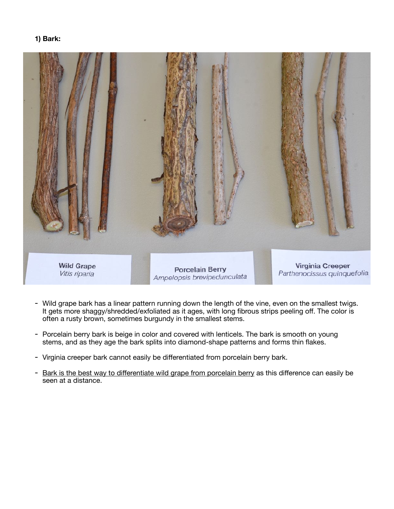### **1) Bark:**



- Wild grape bark has a linear pattern running down the length of the vine, even on the smallest twigs. It gets more shaggy/shredded/exfoliated as it ages, with long fibrous strips peeling off. The color is often a rusty brown, sometimes burgundy in the smallest stems.
- Porcelain berry bark is beige in color and covered with lenticels. The bark is smooth on young stems, and as they age the bark splits into diamond-shape patterns and forms thin flakes.
- Virginia creeper bark cannot easily be differentiated from porcelain berry bark.
- Bark is the best way to differentiate wild grape from porcelain berry as this difference can easily be seen at a distance.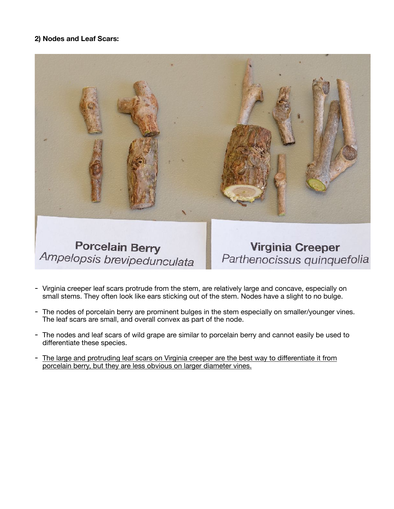# **2) Nodes and Leaf Scars:**



Ampelopsis brevipedunculata

Parthenocissus quinquefolia

- Virginia creeper leaf scars protrude from the stem, are relatively large and concave, especially on small stems. They often look like ears sticking out of the stem. Nodes have a slight to no bulge.
- The nodes of porcelain berry are prominent bulges in the stem especially on smaller/younger vines. The leaf scars are small, and overall convex as part of the node.
- The nodes and leaf scars of wild grape are similar to porcelain berry and cannot easily be used to differentiate these species.
- The large and protruding leaf scars on Virginia creeper are the best way to differentiate it from porcelain berry, but they are less obvious on larger diameter vines.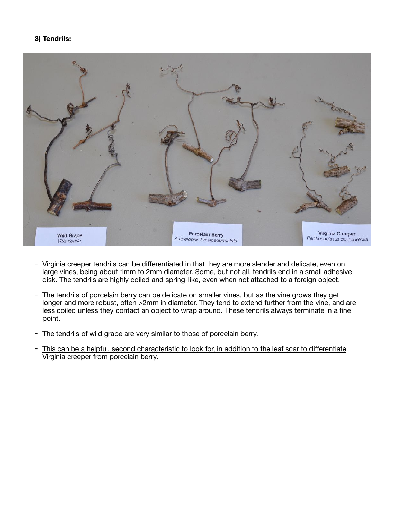# **3) Tendrils:**



- Virginia creeper tendrils can be differentiated in that they are more slender and delicate, even on large vines, being about 1mm to 2mm diameter. Some, but not all, tendrils end in a small adhesive disk. The tendrils are highly coiled and spring-like, even when not attached to a foreign object.
- The tendrils of porcelain berry can be delicate on smaller vines, but as the vine grows they get longer and more robust, often >2mm in diameter. They tend to extend further from the vine, and are less coiled unless they contact an object to wrap around. These tendrils always terminate in a fine point.
- The tendrils of wild grape are very similar to those of porcelain berry.
- This can be a helpful, second characteristic to look for, in addition to the leaf scar to differentiate Virginia creeper from porcelain berry.